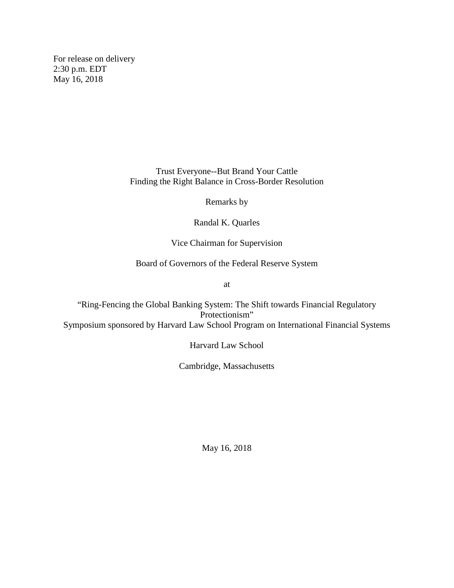For release on delivery 2:30 p.m. EDT May 16, 2018

> Trust Everyone--But Brand Your Cattle Finding the Right Balance in Cross-Border Resolution

> > Remarks by

Randal K. Quarles

Vice Chairman for Supervision

Board of Governors of the Federal Reserve System

at

"Ring-Fencing the Global Banking System: The Shift towards Financial Regulatory Protectionism" Symposium sponsored by Harvard Law School Program on International Financial Systems

Harvard Law School

Cambridge, Massachusetts

May 16, 2018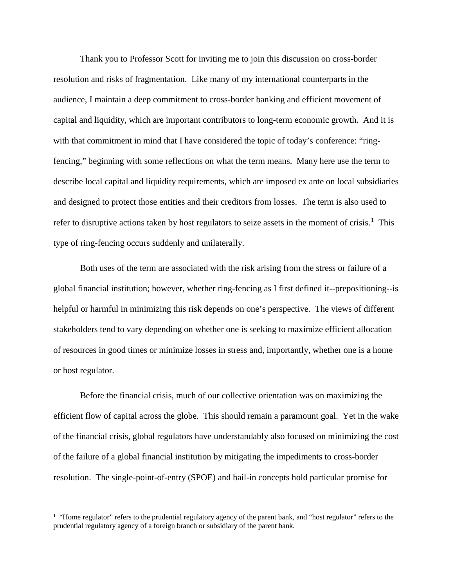Thank you to Professor Scott for inviting me to join this discussion on cross-border resolution and risks of fragmentation. Like many of my international counterparts in the audience, I maintain a deep commitment to cross-border banking and efficient movement of capital and liquidity, which are important contributors to long-term economic growth. And it is with that commitment in mind that I have considered the topic of today's conference: "ringfencing," beginning with some reflections on what the term means. Many here use the term to describe local capital and liquidity requirements, which are imposed ex ante on local subsidiaries and designed to protect those entities and their creditors from losses. The term is also used to refer to disruptive actions taken by host regulators to seize assets in the moment of crisis.<sup>[1](#page-1-0)</sup> This type of ring-fencing occurs suddenly and unilaterally.

Both uses of the term are associated with the risk arising from the stress or failure of a global financial institution; however, whether ring-fencing as I first defined it--prepositioning--is helpful or harmful in minimizing this risk depends on one's perspective. The views of different stakeholders tend to vary depending on whether one is seeking to maximize efficient allocation of resources in good times or minimize losses in stress and, importantly, whether one is a home or host regulator.

Before the financial crisis, much of our collective orientation was on maximizing the efficient flow of capital across the globe. This should remain a paramount goal. Yet in the wake of the financial crisis, global regulators have understandably also focused on minimizing the cost of the failure of a global financial institution by mitigating the impediments to cross-border resolution. The single-point-of-entry (SPOE) and bail-in concepts hold particular promise for

l

<span id="page-1-0"></span><sup>&</sup>lt;sup>1</sup> "Home regulator" refers to the prudential regulatory agency of the parent bank, and "host regulator" refers to the prudential regulatory agency of a foreign branch or subsidiary of the parent bank.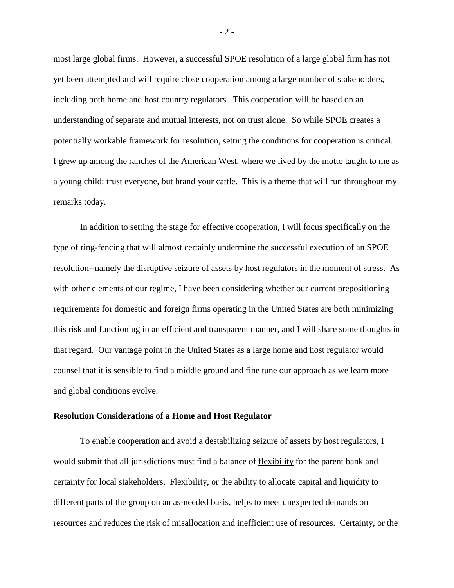most large global firms. However, a successful SPOE resolution of a large global firm has not yet been attempted and will require close cooperation among a large number of stakeholders, including both home and host country regulators. This cooperation will be based on an understanding of separate and mutual interests, not on trust alone. So while SPOE creates a potentially workable framework for resolution, setting the conditions for cooperation is critical. I grew up among the ranches of the American West, where we lived by the motto taught to me as a young child: trust everyone, but brand your cattle. This is a theme that will run throughout my remarks today.

In addition to setting the stage for effective cooperation, I will focus specifically on the type of ring-fencing that will almost certainly undermine the successful execution of an SPOE resolution--namely the disruptive seizure of assets by host regulators in the moment of stress. As with other elements of our regime, I have been considering whether our current prepositioning requirements for domestic and foreign firms operating in the United States are both minimizing this risk and functioning in an efficient and transparent manner, and I will share some thoughts in that regard. Our vantage point in the United States as a large home and host regulator would counsel that it is sensible to find a middle ground and fine tune our approach as we learn more and global conditions evolve.

## **Resolution Considerations of a Home and Host Regulator**

To enable cooperation and avoid a destabilizing seizure of assets by host regulators, I would submit that all jurisdictions must find a balance of flexibility for the parent bank and certainty for local stakeholders. Flexibility, or the ability to allocate capital and liquidity to different parts of the group on an as-needed basis, helps to meet unexpected demands on resources and reduces the risk of misallocation and inefficient use of resources. Certainty, or the

- 2 -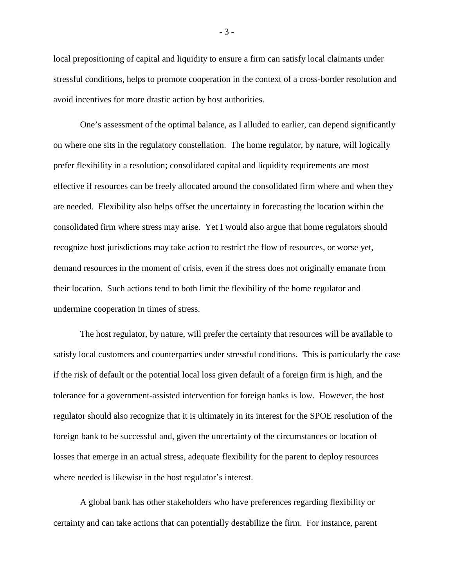local prepositioning of capital and liquidity to ensure a firm can satisfy local claimants under stressful conditions, helps to promote cooperation in the context of a cross-border resolution and avoid incentives for more drastic action by host authorities.

One's assessment of the optimal balance, as I alluded to earlier, can depend significantly on where one sits in the regulatory constellation. The home regulator, by nature, will logically prefer flexibility in a resolution; consolidated capital and liquidity requirements are most effective if resources can be freely allocated around the consolidated firm where and when they are needed. Flexibility also helps offset the uncertainty in forecasting the location within the consolidated firm where stress may arise. Yet I would also argue that home regulators should recognize host jurisdictions may take action to restrict the flow of resources, or worse yet, demand resources in the moment of crisis, even if the stress does not originally emanate from their location. Such actions tend to both limit the flexibility of the home regulator and undermine cooperation in times of stress.

The host regulator, by nature, will prefer the certainty that resources will be available to satisfy local customers and counterparties under stressful conditions. This is particularly the case if the risk of default or the potential local loss given default of a foreign firm is high, and the tolerance for a government-assisted intervention for foreign banks is low. However, the host regulator should also recognize that it is ultimately in its interest for the SPOE resolution of the foreign bank to be successful and, given the uncertainty of the circumstances or location of losses that emerge in an actual stress, adequate flexibility for the parent to deploy resources where needed is likewise in the host regulator's interest.

A global bank has other stakeholders who have preferences regarding flexibility or certainty and can take actions that can potentially destabilize the firm. For instance, parent

- 3 -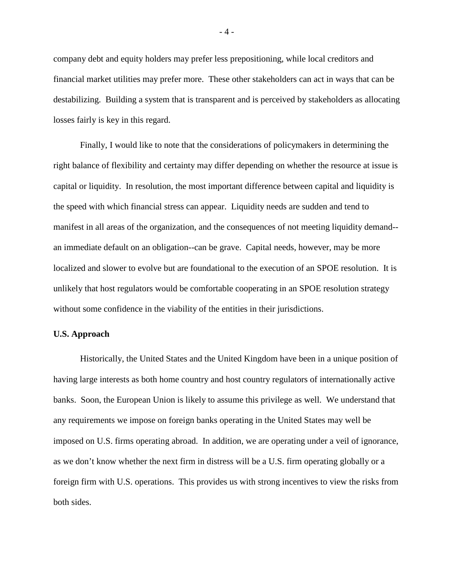company debt and equity holders may prefer less prepositioning, while local creditors and financial market utilities may prefer more. These other stakeholders can act in ways that can be destabilizing. Building a system that is transparent and is perceived by stakeholders as allocating losses fairly is key in this regard.

Finally, I would like to note that the considerations of policymakers in determining the right balance of flexibility and certainty may differ depending on whether the resource at issue is capital or liquidity. In resolution, the most important difference between capital and liquidity is the speed with which financial stress can appear. Liquidity needs are sudden and tend to manifest in all areas of the organization, and the consequences of not meeting liquidity demand- an immediate default on an obligation--can be grave. Capital needs, however, may be more localized and slower to evolve but are foundational to the execution of an SPOE resolution. It is unlikely that host regulators would be comfortable cooperating in an SPOE resolution strategy without some confidence in the viability of the entities in their jurisdictions.

## **U.S. Approach**

Historically, the United States and the United Kingdom have been in a unique position of having large interests as both home country and host country regulators of internationally active banks. Soon, the European Union is likely to assume this privilege as well. We understand that any requirements we impose on foreign banks operating in the United States may well be imposed on U.S. firms operating abroad. In addition, we are operating under a veil of ignorance, as we don't know whether the next firm in distress will be a U.S. firm operating globally or a foreign firm with U.S. operations. This provides us with strong incentives to view the risks from both sides.

- 4 -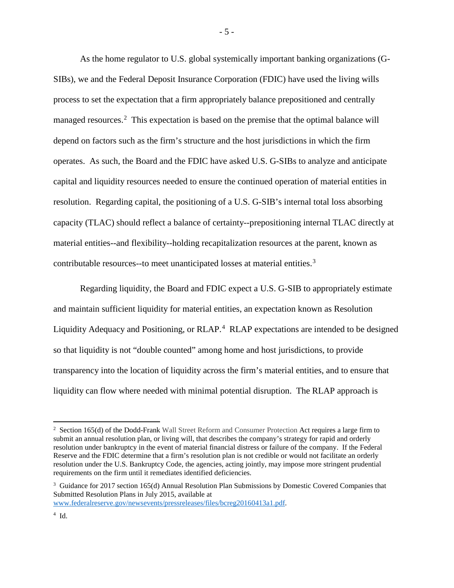As the home regulator to U.S. global systemically important banking organizations (G-SIBs), we and the Federal Deposit Insurance Corporation (FDIC) have used the living wills process to set the expectation that a firm appropriately balance prepositioned and centrally managed resources.<sup>[2](#page-5-0)</sup> This expectation is based on the premise that the optimal balance will depend on factors such as the firm's structure and the host jurisdictions in which the firm operates. As such, the Board and the FDIC have asked U.S. G-SIBs to analyze and anticipate capital and liquidity resources needed to ensure the continued operation of material entities in resolution. Regarding capital, the positioning of a U.S. G-SIB's internal total loss absorbing capacity (TLAC) should reflect a balance of certainty--prepositioning internal TLAC directly at material entities--and flexibility--holding recapitalization resources at the parent, known as contributable resources--to meet unanticipated losses at material entities.<sup>[3](#page-5-1)</sup>

Regarding liquidity, the Board and FDIC expect a U.S. G-SIB to appropriately estimate and maintain sufficient liquidity for material entities, an expectation known as Resolution Liquidity Adequacy and Positioning, or RLAP.<sup>[4](#page-5-2)</sup> RLAP expectations are intended to be designed so that liquidity is not "double counted" among home and host jurisdictions, to provide transparency into the location of liquidity across the firm's material entities, and to ensure that liquidity can flow where needed with minimal potential disruption. The RLAP approach is

www.federalreserve.gov/newsevents/pressreleases/files/bcreg20160413a1.pdf.

 $\overline{\phantom{a}}$ 

<span id="page-5-0"></span><sup>2</sup> Section 165(d) of the Dodd-Frank Wall Street Reform and Consumer Protection Act requires a large firm to submit an annual resolution plan, or living will, that describes the company's strategy for rapid and orderly resolution under bankruptcy in the event of material financial distress or failure of the company. If the Federal Reserve and the FDIC determine that a firm's resolution plan is not credible or would not facilitate an orderly resolution under the U.S. Bankruptcy Code, the agencies, acting jointly, may impose more stringent prudential requirements on the firm until it remediates identified deficiencies.

<span id="page-5-1"></span><sup>&</sup>lt;sup>3</sup> Guidance for 2017 section 165(d) Annual Resolution Plan Submissions by Domestic Covered Companies that Submitted Resolution Plans in July 2015, available at

<span id="page-5-2"></span> $4$  Id.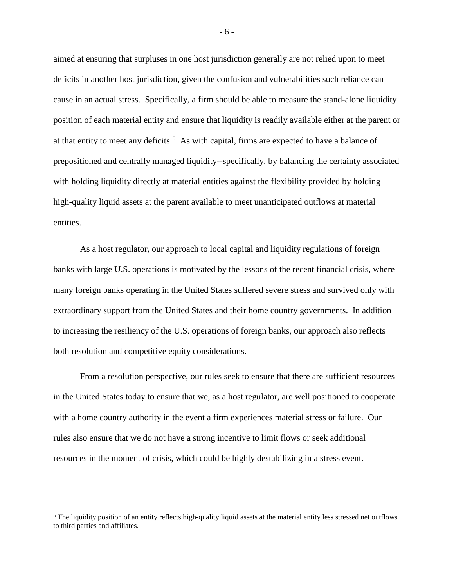aimed at ensuring that surpluses in one host jurisdiction generally are not relied upon to meet deficits in another host jurisdiction, given the confusion and vulnerabilities such reliance can cause in an actual stress. Specifically, a firm should be able to measure the stand-alone liquidity position of each material entity and ensure that liquidity is readily available either at the parent or at that entity to meet any deficits.<sup>[5](#page-6-0)</sup> As with capital, firms are expected to have a balance of prepositioned and centrally managed liquidity--specifically, by balancing the certainty associated with holding liquidity directly at material entities against the flexibility provided by holding high-quality liquid assets at the parent available to meet unanticipated outflows at material entities.

As a host regulator, our approach to local capital and liquidity regulations of foreign banks with large U.S. operations is motivated by the lessons of the recent financial crisis, where many foreign banks operating in the United States suffered severe stress and survived only with extraordinary support from the United States and their home country governments. In addition to increasing the resiliency of the U.S. operations of foreign banks, our approach also reflects both resolution and competitive equity considerations.

From a resolution perspective, our rules seek to ensure that there are sufficient resources in the United States today to ensure that we, as a host regulator, are well positioned to cooperate with a home country authority in the event a firm experiences material stress or failure. Our rules also ensure that we do not have a strong incentive to limit flows or seek additional resources in the moment of crisis, which could be highly destabilizing in a stress event.

l

- 6 -

<span id="page-6-0"></span> $<sup>5</sup>$  The liquidity position of an entity reflects high-quality liquid assets at the material entity less stressed net outflows</sup> to third parties and affiliates.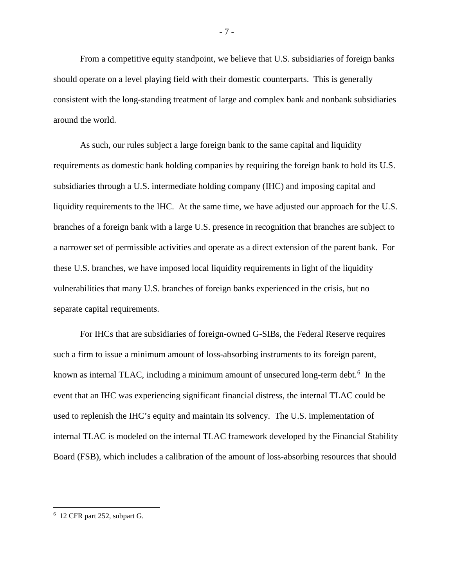From a competitive equity standpoint, we believe that U.S. subsidiaries of foreign banks should operate on a level playing field with their domestic counterparts. This is generally consistent with the long-standing treatment of large and complex bank and nonbank subsidiaries around the world.

As such, our rules subject a large foreign bank to the same capital and liquidity requirements as domestic bank holding companies by requiring the foreign bank to hold its U.S. subsidiaries through a U.S. intermediate holding company (IHC) and imposing capital and liquidity requirements to the IHC. At the same time, we have adjusted our approach for the U.S. branches of a foreign bank with a large U.S. presence in recognition that branches are subject to a narrower set of permissible activities and operate as a direct extension of the parent bank. For these U.S. branches, we have imposed local liquidity requirements in light of the liquidity vulnerabilities that many U.S. branches of foreign banks experienced in the crisis, but no separate capital requirements.

For IHCs that are subsidiaries of foreign-owned G-SIBs, the Federal Reserve requires such a firm to issue a minimum amount of loss-absorbing instruments to its foreign parent, known as internal TLAC, including a minimum amount of unsecured long-term debt.<sup>[6](#page-7-0)</sup> In the event that an IHC was experiencing significant financial distress, the internal TLAC could be used to replenish the IHC's equity and maintain its solvency. The U.S. implementation of internal TLAC is modeled on the internal TLAC framework developed by the Financial Stability Board (FSB), which includes a calibration of the amount of loss-absorbing resources that should

l

<span id="page-7-0"></span><sup>&</sup>lt;sup>6</sup> 12 CFR part 252, subpart G.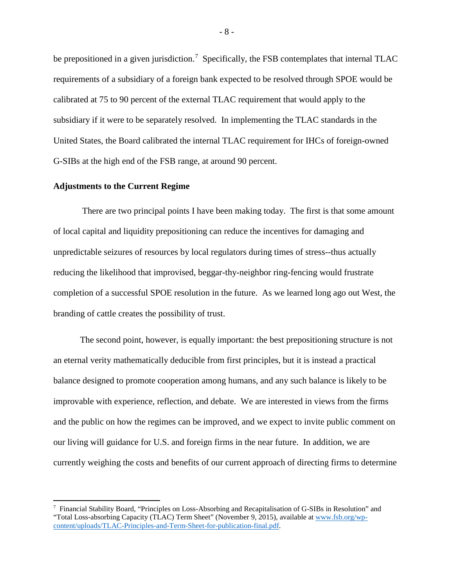be prepositioned in a given jurisdiction.<sup>[7](#page-8-0)</sup> Specifically, the FSB contemplates that internal TLAC requirements of a subsidiary of a foreign bank expected to be resolved through SPOE would be calibrated at 75 to 90 percent of the external TLAC requirement that would apply to the subsidiary if it were to be separately resolved. In implementing the TLAC standards in the United States, the Board calibrated the internal TLAC requirement for IHCs of foreign-owned G-SIBs at the high end of the FSB range, at around 90 percent.

## **Adjustments to the Current Regime**

l

There are two principal points I have been making today. The first is that some amount of local capital and liquidity prepositioning can reduce the incentives for damaging and unpredictable seizures of resources by local regulators during times of stress--thus actually reducing the likelihood that improvised, beggar-thy-neighbor ring-fencing would frustrate completion of a successful SPOE resolution in the future. As we learned long ago out West, the branding of cattle creates the possibility of trust.

The second point, however, is equally important: the best prepositioning structure is not an eternal verity mathematically deducible from first principles, but it is instead a practical balance designed to promote cooperation among humans, and any such balance is likely to be improvable with experience, reflection, and debate. We are interested in views from the firms and the public on how the regimes can be improved, and we expect to invite public comment on our living will guidance for U.S. and foreign firms in the near future. In addition, we are currently weighing the costs and benefits of our current approach of directing firms to determine

<span id="page-8-0"></span><sup>7</sup> Financial Stability Board, "Principles on Loss-Absorbing and Recapitalisation of G-SIBs in Resolution" and "Total Loss-absorbing Capacity (TLAC) Term Sheet" (November 9, 2015), available a[t www.fsb.org/wp](http://www.fsb.org/wp-content/uploads/TLAC-Principles-and-Term-Sheet-for-publication-final.pdf)[content/uploads/TLAC-Principles-and-Term-Sheet-for-publication-final.pdf.](http://www.fsb.org/wp-content/uploads/TLAC-Principles-and-Term-Sheet-for-publication-final.pdf)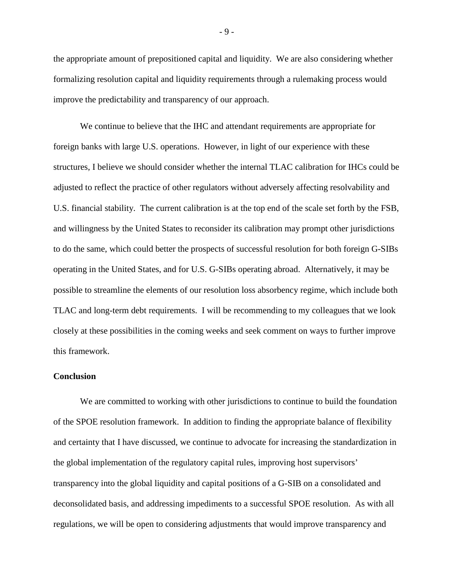the appropriate amount of prepositioned capital and liquidity. We are also considering whether formalizing resolution capital and liquidity requirements through a rulemaking process would improve the predictability and transparency of our approach.

We continue to believe that the IHC and attendant requirements are appropriate for foreign banks with large U.S. operations. However, in light of our experience with these structures, I believe we should consider whether the internal TLAC calibration for IHCs could be adjusted to reflect the practice of other regulators without adversely affecting resolvability and U.S. financial stability. The current calibration is at the top end of the scale set forth by the FSB, and willingness by the United States to reconsider its calibration may prompt other jurisdictions to do the same, which could better the prospects of successful resolution for both foreign G-SIBs operating in the United States, and for U.S. G-SIBs operating abroad. Alternatively, it may be possible to streamline the elements of our resolution loss absorbency regime, which include both TLAC and long-term debt requirements. I will be recommending to my colleagues that we look closely at these possibilities in the coming weeks and seek comment on ways to further improve this framework.

## **Conclusion**

We are committed to working with other jurisdictions to continue to build the foundation of the SPOE resolution framework. In addition to finding the appropriate balance of flexibility and certainty that I have discussed, we continue to advocate for increasing the standardization in the global implementation of the regulatory capital rules, improving host supervisors' transparency into the global liquidity and capital positions of a G-SIB on a consolidated and deconsolidated basis, and addressing impediments to a successful SPOE resolution. As with all regulations, we will be open to considering adjustments that would improve transparency and

- 9 -